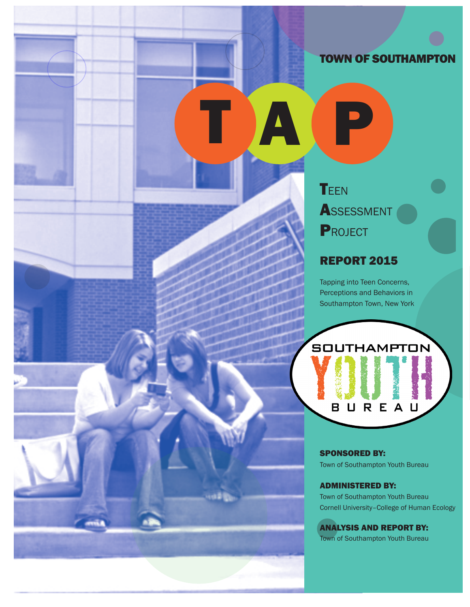### TOWN OF SOUTHAMPTON

# **TEEN ASSESSMENT PROJECT**

T A (P

### REPORT 2015

Tapping into Teen Concerns, Perceptions and Behaviors in Southampton Town, New York



SPONSORED BY: Town of Southampton Youth Bureau

### ADMINISTERED BY:

Town of Southampton Youth Bureau Cornell University–College of Human Ecology

ANALYSIS AND REPORT BY: Town of Southampton Youth Bureau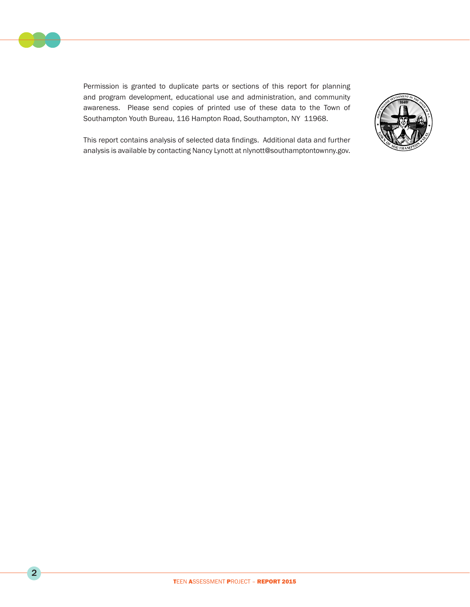

Permission is granted to duplicate parts or sections of this report for planning and program development, educational use and administration, and community awareness. Please send copies of printed use of these data to the Town of Southampton Youth Bureau, 116 Hampton Road, Southampton, NY 11968.



This report contains analysis of selected data findings. Additional data and further analysis is available by contacting Nancy Lynott at nlynott@southamptontownny.gov.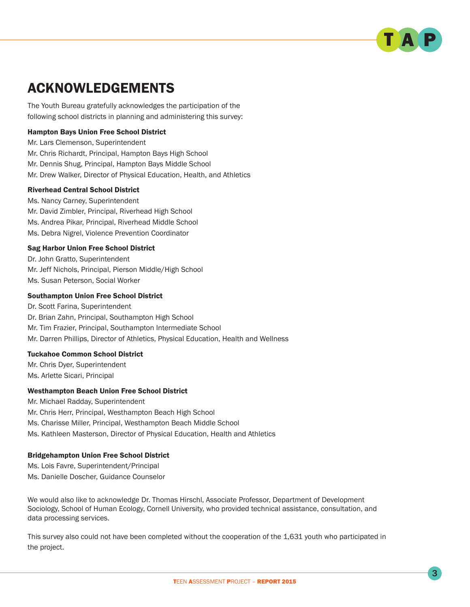

## ACKNOWLEDGEMENTS

The Youth Bureau gratefully acknowledges the participation of the following school districts in planning and administering this survey:

#### Hampton Bays Union Free School District

Mr. Lars Clemenson, Superintendent Mr. Chris Richardt, Principal, Hampton Bays High School Mr. Dennis Shug, Principal, Hampton Bays Middle School Mr. Drew Walker, Director of Physical Education, Health, and Athletics

#### Riverhead Central School District

Ms. Nancy Carney, Superintendent Mr. David Zimbler, Principal, Riverhead High School Ms. Andrea Pikar, Principal, Riverhead Middle School Ms. Debra Nigrel, Violence Prevention Coordinator

#### Sag Harbor Union Free School District

Dr. John Gratto, Superintendent Mr. Jeff Nichols, Principal, Pierson Middle/High School Ms. Susan Peterson, Social Worker

#### Southampton Union Free School District

Dr. Scott Farina, Superintendent Dr. Brian Zahn, Principal, Southampton High School Mr. Tim Frazier, Principal, Southampton Intermediate School Mr. Darren Phillips, Director of Athletics, Physical Education, Health and Wellness

#### Tuckahoe Common School District

Mr. Chris Dyer, Superintendent Ms. Arlette Sicari, Principal

#### Westhampton Beach Union Free School District

Mr. Michael Radday, Superintendent Mr. Chris Herr, Principal, Westhampton Beach High School Ms. Charisse Miller, Principal, Westhampton Beach Middle School Ms. Kathleen Masterson, Director of Physical Education, Health and Athletics

#### Bridgehampton Union Free School District

Ms. Lois Favre, Superintendent/Principal

Ms. Danielle Doscher, Guidance Counselor

We would also like to acknowledge Dr. Thomas Hirschl, Associate Professor, Department of Development Sociology, School of Human Ecology, Cornell University, who provided technical assistance, consultation, and data processing services.

This survey also could not have been completed without the cooperation of the 1,631 youth who participated in the project.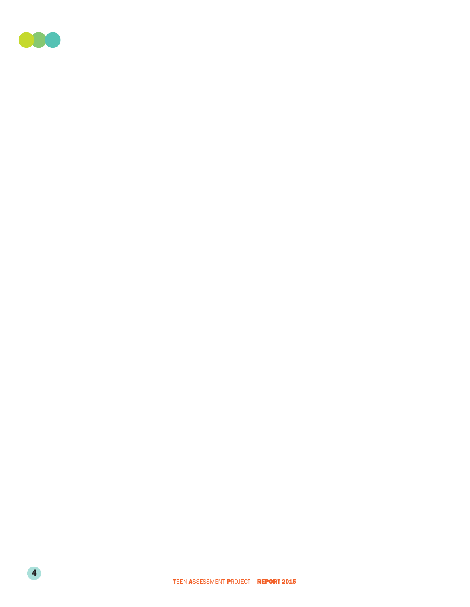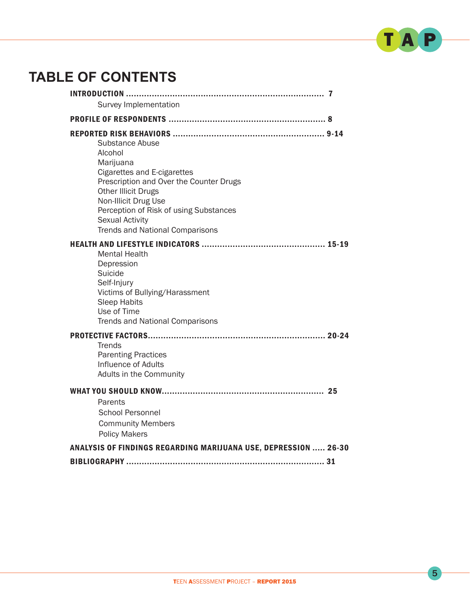

## **TABLE OF CONTENTS**

| <b>Survey Implementation</b><br><b>Substance Abuse</b><br>Alcohol<br>Marijuana<br>Cigarettes and E-cigarettes<br>Prescription and Over the Counter Drugs<br><b>Other Illicit Drugs</b><br>Non-Illicit Drug Use<br>Perception of Risk of using Substances |  |
|----------------------------------------------------------------------------------------------------------------------------------------------------------------------------------------------------------------------------------------------------------|--|
|                                                                                                                                                                                                                                                          |  |
|                                                                                                                                                                                                                                                          |  |
| <b>Sexual Activity</b><br><b>Trends and National Comparisons</b>                                                                                                                                                                                         |  |
| <b>Mental Health</b><br>Depression<br>Suicide<br>Self-Injury<br>Victims of Bullying/Harassment<br><b>Sleep Habits</b><br>Use of Time<br><b>Trends and National Comparisons</b>                                                                           |  |
| Trends<br><b>Parenting Practices</b><br>Influence of Adults<br>Adults in the Community                                                                                                                                                                   |  |
| Parents<br><b>School Personnel</b><br><b>Community Members</b><br><b>Policy Makers</b>                                                                                                                                                                   |  |
| ANALYSIS OF FINDINGS REGARDING MARIJUANA USE, DEPRESSION  26-30                                                                                                                                                                                          |  |
|                                                                                                                                                                                                                                                          |  |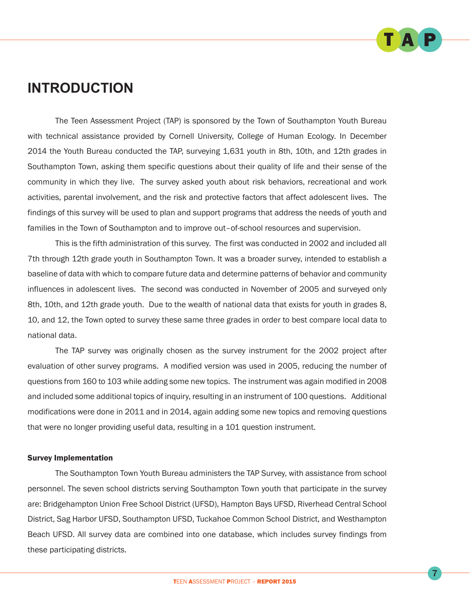

## **INTRODUCTION**

The Teen Assessment Project (TAP) is sponsored by the Town of Southampton Youth Bureau with technical assistance provided by Cornell University, College of Human Ecology. In December 2014 the Youth Bureau conducted the TAP, surveying 1,631 youth in 8th, 10th, and 12th grades in Southampton Town, asking them specific questions about their quality of life and their sense of the community in which they live. The survey asked youth about risk behaviors, recreational and work activities, parental involvement, and the risk and protective factors that affect adolescent lives. The findings of this survey will be used to plan and support programs that address the needs of youth and families in the Town of Southampton and to improve out–of-school resources and supervision.

This is the fifth administration of this survey. The first was conducted in 2002 and included all 7th through 12th grade youth in Southampton Town. It was a broader survey, intended to establish a baseline of data with which to compare future data and determine patterns of behavior and community influences in adolescent lives. The second was conducted in November of 2005 and surveyed only 8th, 10th, and 12th grade youth. Due to the wealth of national data that exists for youth in grades 8, 10, and 12, the Town opted to survey these same three grades in order to best compare local data to national data.

The TAP survey was originally chosen as the survey instrument for the 2002 project after evaluation of other survey programs. A modified version was used in 2005, reducing the number of questions from 160 to 103 while adding some new topics. The instrument was again modified in 2008 and included some additional topics of inquiry, resulting in an instrument of 100 questions. Additional modifications were done in 2011 and in 2014, again adding some new topics and removing questions that were no longer providing useful data, resulting in a 101 question instrument.

#### Survey Implementation

The Southampton Town Youth Bureau administers the TAP Survey, with assistance from school personnel. The seven school districts serving Southampton Town youth that participate in the survey are: Bridgehampton Union Free School District (UFSD), Hampton Bays UFSD, Riverhead Central School District, Sag Harbor UFSD, Southampton UFSD, Tuckahoe Common School District, and Westhampton Beach UFSD. All survey data are combined into one database, which includes survey findings from these participating districts.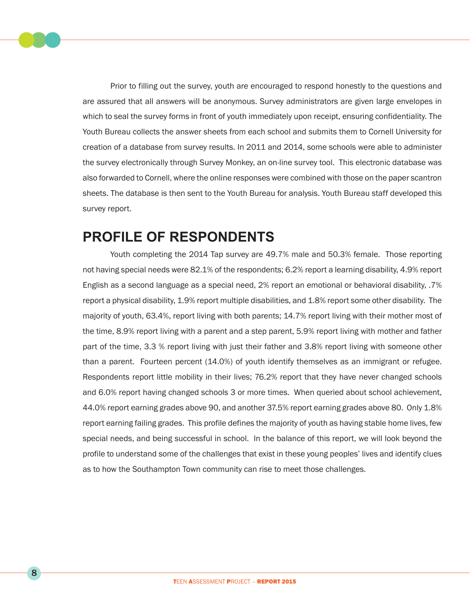

Prior to filling out the survey, youth are encouraged to respond honestly to the questions and are assured that all answers will be anonymous. Survey administrators are given large envelopes in which to seal the survey forms in front of youth immediately upon receipt, ensuring confidentiality. The Youth Bureau collects the answer sheets from each school and submits them to Cornell University for creation of a database from survey results. In 2011 and 2014, some schools were able to administer the survey electronically through Survey Monkey, an on-line survey tool. This electronic database was also forwarded to Cornell, where the online responses were combined with those on the paper scantron sheets. The database is then sent to the Youth Bureau for analysis. Youth Bureau staff developed this survey report.

## **PROFILE OF RESPONDENTS**

Youth completing the 2014 Tap survey are 49.7% male and 50.3% female. Those reporting not having special needs were 82.1% of the respondents; 6.2% report a learning disability, 4.9% report English as a second language as a special need, 2% report an emotional or behavioral disability, .7% report a physical disability, 1.9% report multiple disabilities, and 1.8% report some other disability. The majority of youth, 63.4%, report living with both parents; 14.7% report living with their mother most of the time, 8.9% report living with a parent and a step parent, 5.9% report living with mother and father part of the time, 3.3 % report living with just their father and 3.8% report living with someone other than a parent. Fourteen percent (14.0%) of youth identify themselves as an immigrant or refugee. Respondents report little mobility in their lives; 76.2% report that they have never changed schools and 6.0% report having changed schools 3 or more times. When queried about school achievement, 44.0% report earning grades above 90, and another 37.5% report earning grades above 80. Only 1.8% report earning failing grades. This profile defines the majority of youth as having stable home lives, few special needs, and being successful in school. In the balance of this report, we will look beyond the profile to understand some of the challenges that exist in these young peoples' lives and identify clues as to how the Southampton Town community can rise to meet those challenges.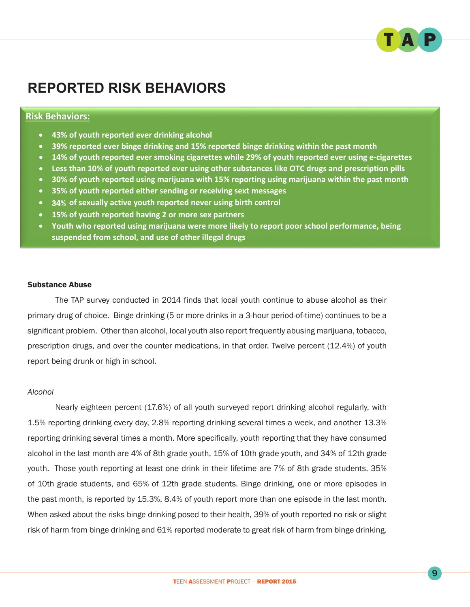

## **REPORTED RISK BEHAVIORS**

#### **Risk Behaviors:**

- **43% of youth reported ever drinking alcohol**
- **39% reported ever binge drinking and 15% reported binge drinking within the past month**
- **14% of youth reported ever smoking cigarettes while 29% of youth reported ever using e-cigarettes**
- **Less than 10% of youth reported ever using other substances like OTC drugs and prescription pills**
- **30% of youth reported using marijuana with 15% reporting using marijuana within the past month**
- **35% of youth reported either sending or receiving sext messages**
- **46% of sexually active youth reported never using birth control** 34%
- **15% of youth reported having 2 or more sex partners**
- **Youth who reported using marijuana were more likely to report poor school performance, being suspended from school, and use of other illegal drugs**

#### Substance Abuse

 **15% of youth considered suicide and 13% reported harming themselves on purpose** The TAP survey conducted in 2014 finds that local youth continue to abuse alcohol as their primary drug of choice. Binge drinking (5 or more drinks in a 3-hour period-of-time) continues to be a significant problem. Other than alcohol, local youth also report frequently abusing marijuana, tobacco, **Youth report spending most of their time: Hanging out with friends (48%), texting (35%),**  prescription drugs, and over the counter medications, in that order. Twelve percent (12.4%) of youth report being drunk or high in school.

#### *Alcohol*

Nearly eighteen percent (17.6%) of all youth surveyed report drinking alcohol regularly, with **Young people often turn to adults to keep them from engaging in illegal or harmful activities.**  reporting drinking several times a month. More specifically, youth reporting that they have consumed alcohol in the last month are 4% of 8th grade youth, 15% of 10th grade youth, and 34% of 12th grade **24% reported after-school activities as an important protective factor** youth. Those youth reporting at least one drink in their lifetime are 7% of 8th grade students, 35% 1.5% reporting drinking every day, 2.8% reporting drinking several times a week, and another 13.3% of 10th grade students, and 65% of 12th grade students. Binge drinking, one or more episodes in the past month, is reported by 15.3%, 8.4% of youth report more than one episode in the last month. When asked about the risks binge drinking posed to their health, 39% of youth reported no risk or slight risk of harm from binge drinking and 61% reported moderate to great risk of harm from binge drinking.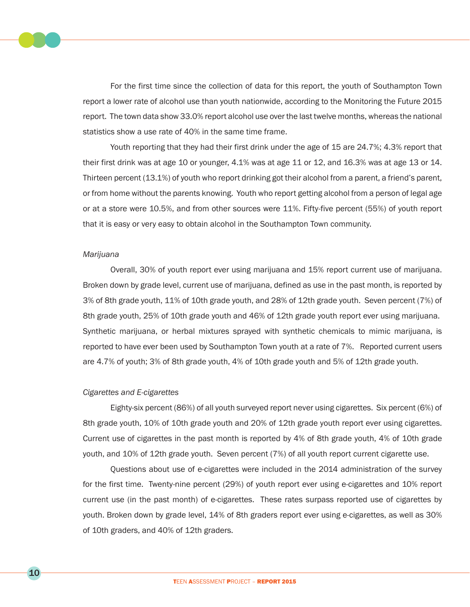

For the first time since the collection of data for this report, the youth of Southampton Town report a lower rate of alcohol use than youth nationwide, according to the Monitoring the Future 2015 report. The town data show 33.0% report alcohol use over the last twelve months, whereas the national statistics show a use rate of 40% in the same time frame.

Youth reporting that they had their first drink under the age of 15 are 24.7%; 4.3% report that their first drink was at age 10 or younger, 4.1% was at age 11 or 12, and 16.3% was at age 13 or 14. Thirteen percent (13.1%) of youth who report drinking got their alcohol from a parent, a friend's parent, or from home without the parents knowing. Youth who report getting alcohol from a person of legal age or at a store were 10.5%, and from other sources were 11%. Fifty-five percent (55%) of youth report that it is easy or very easy to obtain alcohol in the Southampton Town community.

#### *Marijuana*

Overall, 30% of youth report ever using marijuana and 15% report current use of marijuana. Broken down by grade level, current use of marijuana, defined as use in the past month, is reported by 3% of 8th grade youth, 11% of 10th grade youth, and 28% of 12th grade youth. Seven percent (7%) of 8th grade youth, 25% of 10th grade youth and 46% of 12th grade youth report ever using marijuana. Synthetic marijuana, or herbal mixtures sprayed with synthetic chemicals to mimic marijuana, is reported to have ever been used by Southampton Town youth at a rate of 7%. Reported current users are 4.7% of youth; 3% of 8th grade youth, 4% of 10th grade youth and 5% of 12th grade youth.

#### *Cigarettes and E-cigarettes*

Eighty-six percent (86%) of all youth surveyed report never using cigarettes. Six percent (6%) of 8th grade youth, 10% of 10th grade youth and 20% of 12th grade youth report ever using cigarettes. Current use of cigarettes in the past month is reported by 4% of 8th grade youth, 4% of 10th grade youth, and 10% of 12th grade youth. Seven percent (7%) of all youth report current cigarette use.

Questions about use of e-cigarettes were included in the 2014 administration of the survey for the first time. Twenty-nine percent (29%) of youth report ever using e-cigarettes and 10% report current use (in the past month) of e-cigarettes. These rates surpass reported use of cigarettes by youth. Broken down by grade level, 14% of 8th graders report ever using e-cigarettes, as well as 30% of 10th graders, and 40% of 12th graders.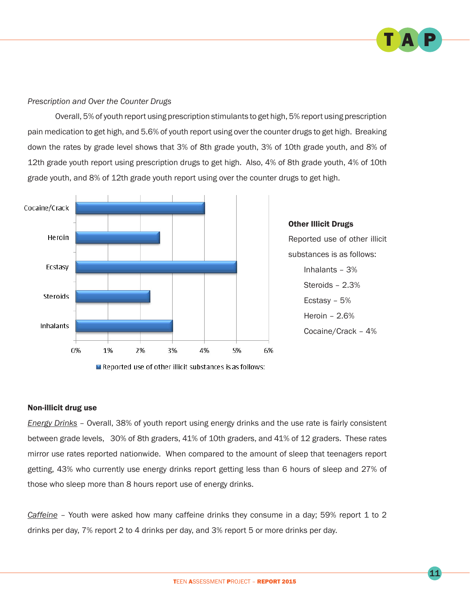

#### *Prescription and Over the Counter Drugs*

Overall, 5% of youth report using prescription stimulants to get high, 5% report using prescription pain medication to get high, and 5.6% of youth report using over the counter drugs to get high. Breaking down the rates by grade level shows that 3% of 8th grade youth, 3% of 10th grade youth, and 8% of 12th grade youth report using prescription drugs to get high. Also, 4% of 8th grade youth, 4% of 10th grade youth, and 8% of 12th grade youth report using over the counter drugs to get high.



Other Illicit Drugs Reported use of other illicit substances is as follows: Inhalants – 3% Steroids – 2.3% Ecstasy – 5% Heroin – 2.6% Cocaine/Crack – 4%



#### Non-illicit drug use

*Energy Drinks* – Overall, 38% of youth report using energy drinks and the use rate is fairly consistent between grade levels, 30% of 8th graders, 41% of 10th graders, and 41% of 12 graders. These rates mirror use rates reported nationwide. When compared to the amount of sleep that teenagers report getting, 43% who currently use energy drinks report getting less than 6 hours of sleep and 27% of those who sleep more than 8 hours report use of energy drinks.

*Caffeine* – Youth were asked how many caffeine drinks they consume in a day; 59% report 1 to 2 drinks per day, 7% report 2 to 4 drinks per day, and 3% report 5 or more drinks per day.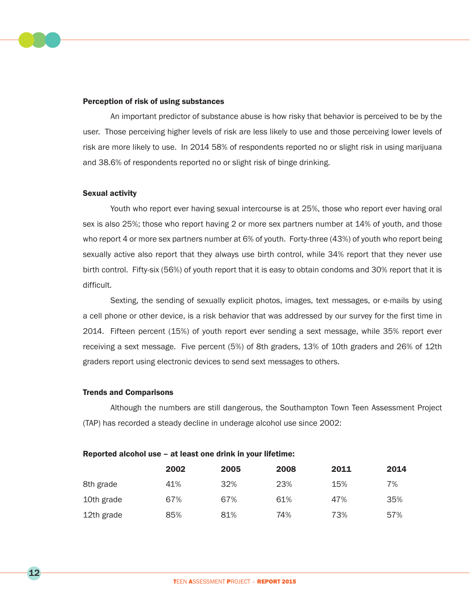

#### Perception of risk of using substances

An important predictor of substance abuse is how risky that behavior is perceived to be by the user. Those perceiving higher levels of risk are less likely to use and those perceiving lower levels of risk are more likely to use. In 2014 58% of respondents reported no or slight risk in using marijuana and 38.6% of respondents reported no or slight risk of binge drinking.

#### Sexual activity

Youth who report ever having sexual intercourse is at 25%, those who report ever having oral sex is also 25%; those who report having 2 or more sex partners number at 14% of youth, and those who report 4 or more sex partners number at 6% of youth. Forty-three (43%) of youth who report being sexually active also report that they always use birth control, while 34% report that they never use birth control. Fifty-six (56%) of youth report that it is easy to obtain condoms and 30% report that it is difficult.

Sexting, the sending of sexually explicit photos, images, text messages, or e-mails by using a cell phone or other device, is a risk behavior that was addressed by our survey for the first time in 2014. Fifteen percent (15%) of youth report ever sending a sext message, while 35% report ever receiving a sext message. Five percent (5%) of 8th graders, 13% of 10th graders and 26% of 12th graders report using electronic devices to send sext messages to others.

#### Trends and Comparisons

Although the numbers are still dangerous, the Southampton Town Teen Assessment Project (TAP) has recorded a steady decline in underage alcohol use since 2002:

#### Reported alcohol use – at least one drink in your lifetime:

|            | 2002 | 2005 | 2008 | 2011 | 2014 |
|------------|------|------|------|------|------|
| 8th grade  | 41%  | 32%  | 23%  | 15%  | 7%   |
| 10th grade | 67%  | 67%  | 61%  | 47%  | 35%  |
| 12th grade | 85%  | 81%  | 74%  | 73%  | 57%  |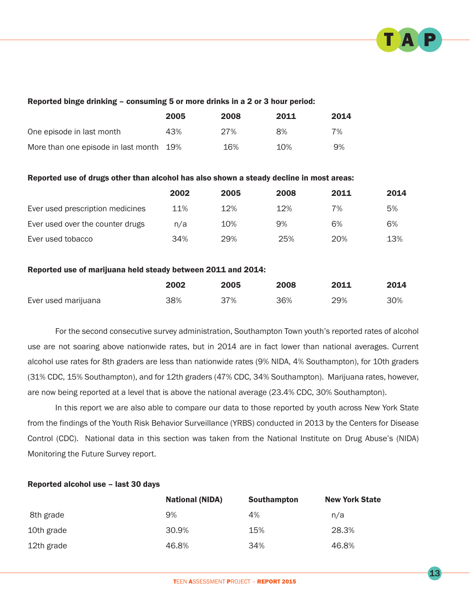

#### Reported binge drinking – consuming 5 or more drinks in a 2 or 3 hour period:

|                                         | 2005 | 2008 | 2011 | 2014 |
|-----------------------------------------|------|------|------|------|
| One episode in last month               | 43%  | 27%  | 8%   | 7%   |
| More than one episode in last month 19% |      | 16%  | 10%  | 9%   |

#### Reported use of drugs other than alcohol has also shown a steady decline in most areas:

|                                  | 2002 | 2005 | 2008 | 2011 | 2014 |
|----------------------------------|------|------|------|------|------|
| Ever used prescription medicines | 11%  | 12%  | 12%  | 7%   | 5%   |
| Ever used over the counter drugs | n/a  | 10%  | 9%   | 6%   | 6%   |
| Ever used tobacco                | 34%  | 29%  | 25%  | 20%  | 13%  |

#### Reported use of marijuana held steady between 2011 and 2014:

|                     | 2002 | 2005 | 2008 | 2011 | 2014 |
|---------------------|------|------|------|------|------|
| Ever used marijuana | 38%  | 37%  | 36%  | 29%  | 30%  |

For the second consecutive survey administration, Southampton Town youth's reported rates of alcohol use are not soaring above nationwide rates, but in 2014 are in fact lower than national averages. Current alcohol use rates for 8th graders are less than nationwide rates (9% NIDA, 4% Southampton), for 10th graders (31% CDC, 15% Southampton), and for 12th graders (47% CDC, 34% Southampton). Marijuana rates, however, are now being reported at a level that is above the national average (23.4% CDC, 30% Southampton).

In this report we are also able to compare our data to those reported by youth across New York State from the findings of the Youth Risk Behavior Surveillance (YRBS) conducted in 2013 by the Centers for Disease Control (CDC). National data in this section was taken from the National Institute on Drug Abuse's (NIDA) Monitoring the Future Survey report.

#### Reported alcohol use – last 30 days

|            | <b>National (NIDA)</b> | <b>Southampton</b> | <b>New York State</b> |
|------------|------------------------|--------------------|-----------------------|
| 8th grade  | 9%                     | 4%                 | n/a                   |
| 10th grade | 30.9%                  | 15%                | 28.3%                 |
| 12th grade | 46.8%                  | 34%                | 46.8%                 |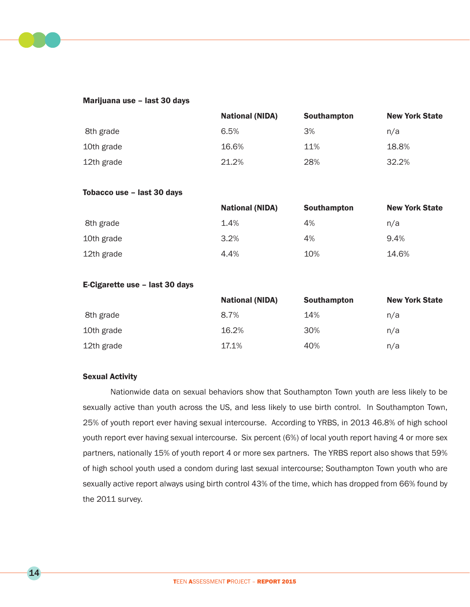

#### Marijuana use – last 30 days

|            | <b>National (NIDA)</b> | <b>Southampton</b> | <b>New York State</b> |
|------------|------------------------|--------------------|-----------------------|
| 8th grade  | 6.5%                   | 3%                 | n/a                   |
| 10th grade | 16.6%                  | 11%                | 18.8%                 |
| 12th grade | 21.2%                  | 28%                | 32.2%                 |

#### Tobacco use – last 30 days

|            | <b>National (NIDA)</b> | <b>Southampton</b> | <b>New York State</b> |
|------------|------------------------|--------------------|-----------------------|
| 8th grade  | 1.4%                   | 4%                 | n/a                   |
| 10th grade | 3.2%                   | 4%                 | $9.4\%$               |
| 12th grade | 4.4%                   | 10%                | 14.6%                 |

#### E-Cigarette use – last 30 days

|            | <b>National (NIDA)</b> | <b>Southampton</b> | <b>New York State</b> |
|------------|------------------------|--------------------|-----------------------|
| 8th grade  | 8.7%                   | 14%                | n/a                   |
| 10th grade | 16.2%                  | 30%                | n/a                   |
| 12th grade | 17.1%                  | 40%                | n/a                   |

#### Sexual Activity

Nationwide data on sexual behaviors show that Southampton Town youth are less likely to be sexually active than youth across the US, and less likely to use birth control. In Southampton Town, 25% of youth report ever having sexual intercourse. According to YRBS, in 2013 46.8% of high school youth report ever having sexual intercourse. Six percent (6%) of local youth report having 4 or more sex partners, nationally 15% of youth report 4 or more sex partners. The YRBS report also shows that 59% of high school youth used a condom during last sexual intercourse; Southampton Town youth who are sexually active report always using birth control 43% of the time, which has dropped from 66% found by the 2011 survey.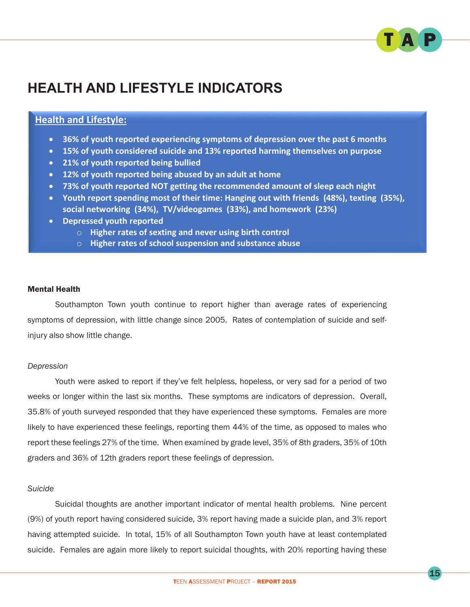

#### **HEALTH AND LIFESTYLE INDICATORS Youth who reported using marijuana were more likely to report poor school performance, being STEALIT AND I**

### **Health and Lifestyle:**

**35% of youth reported either sending or receiving sext messages** 

- **36% of youth reported experiencing symptoms of depression over the past 6 months**
- **15% of youth considered suicide and 13% reported harming themselves on purpose**
- **21% of youth reported being bullied**
- **12% of youth reported being abused by an adult at home**
- **73% of youth reported NOT getting the recommended amount of sleep each night**
- **Youth report spending most of their time: Hanging out with friends (48%), texting (35%), social networking (34%), TV/videogames (33%), and homework (23%)**
- **Depressed youth reported** 
	- o **Higher rates of sexting and never using birth control**
	- o **Higher rates of school suspension and substance abuse**

#### Mental Health **Young people of the measure of the measure in illegal or harmonic activities.**  $\mathbf{r} = \mathbf{r} \cdot \mathbf{r}$

Southampton Town youth continue to report higher than average rates of experiencing symptoms of depression, with little change since 2005. Rates of contemplation of suicide and selfinjury also show little change. **31% look toward a positive role model 24% reported after-school activities as an important protective factor**

#### *Depression*

Youth were asked to report if they've felt helpless, hopeless, or very sad for a period of two weeks or longer within the last six months. These symptoms are indicators of depression. Overall, 35.8% of youth surveyed responded that they have experienced these symptoms. Females are more likely to have experienced these feelings, reporting them 44% of the time, as opposed to males who report these feelings 27% of the time. When examined by grade level, 35% of 8th graders, 35% of 10th graders and 36% of 12th graders report these feelings of depression.

#### *Suicide*

Suicidal thoughts are another important indicator of mental health problems. Nine percent (9%) of youth report having considered suicide, 3% report having made a suicide plan, and 3% report having attempted suicide. In total, 15% of all Southampton Town youth have at least contemplated suicide. Females are again more likely to report suicidal thoughts, with 20% reporting having these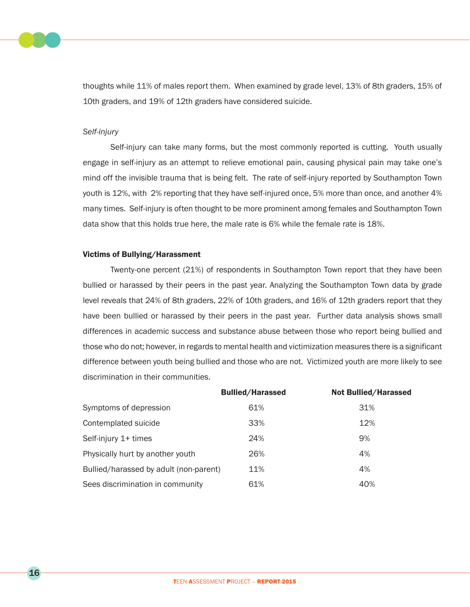

thoughts while 11% of males report them. When examined by grade level, 13% of 8th graders, 15% of 10th graders, and 19% of 12th graders have considered suicide.

#### *Self-injury*

Self-injury can take many forms, but the most commonly reported is cutting. Youth usually engage in self-injury as an attempt to relieve emotional pain, causing physical pain may take one's mind off the invisible trauma that is being felt. The rate of self-injury reported by Southampton Town youth is 12%, with 2% reporting that they have self-injured once, 5% more than once, and another 4% many times. Self-injury is often thought to be more prominent among females and Southampton Town data show that this holds true here, the male rate is 6% while the female rate is 18%.

#### Victims of Bullying/Harassment

Twenty-one percent (21%) of respondents in Southampton Town report that they have been bullied or harassed by their peers in the past year. Analyzing the Southampton Town data by grade level reveals that 24% of 8th graders, 22% of 10th graders, and 16% of 12th graders report that they have been bullied or harassed by their peers in the past year. Further data analysis shows small differences in academic success and substance abuse between those who report being bullied and those who do not; however, in regards to mental health and victimization measures there is a significant difference between youth being bullied and those who are not. Victimized youth are more likely to see discrimination in their communities.

|                                        | <b>Bullied/Harassed</b> | Not Bullied/Harassed |
|----------------------------------------|-------------------------|----------------------|
| Symptoms of depression                 | 61%                     | 31%                  |
| Contemplated suicide                   | 33%                     | 12%                  |
| Self-injury 1+ times                   | 24%                     | 9%                   |
| Physically hurt by another youth       | 26%                     | 4%                   |
| Bullied/harassed by adult (non-parent) | 11%                     | 4%                   |
| Sees discrimination in community       | 61%                     | 40%                  |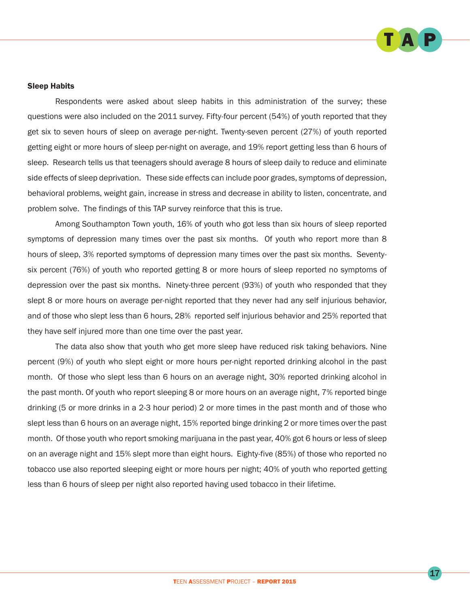

17

#### Sleep Habits

Respondents were asked about sleep habits in this administration of the survey; these questions were also included on the 2011 survey. Fifty-four percent (54%) of youth reported that they get six to seven hours of sleep on average per-night. Twenty-seven percent (27%) of youth reported getting eight or more hours of sleep per-night on average, and 19% report getting less than 6 hours of sleep. Research tells us that teenagers should average 8 hours of sleep daily to reduce and eliminate side effects of sleep deprivation. These side effects can include poor grades, symptoms of depression, behavioral problems, weight gain, increase in stress and decrease in ability to listen, concentrate, and problem solve. The findings of this TAP survey reinforce that this is true.

Among Southampton Town youth, 16% of youth who got less than six hours of sleep reported symptoms of depression many times over the past six months. Of youth who report more than 8 hours of sleep, 3% reported symptoms of depression many times over the past six months. Seventysix percent (76%) of youth who reported getting 8 or more hours of sleep reported no symptoms of depression over the past six months. Ninety-three percent (93%) of youth who responded that they slept 8 or more hours on average per-night reported that they never had any self injurious behavior, and of those who slept less than 6 hours, 28% reported self injurious behavior and 25% reported that they have self injured more than one time over the past year.

The data also show that youth who get more sleep have reduced risk taking behaviors. Nine percent (9%) of youth who slept eight or more hours per-night reported drinking alcohol in the past month. Of those who slept less than 6 hours on an average night, 30% reported drinking alcohol in the past month. Of youth who report sleeping 8 or more hours on an average night, 7% reported binge drinking (5 or more drinks in a 2-3 hour period) 2 or more times in the past month and of those who slept less than 6 hours on an average night, 15% reported binge drinking 2 or more times over the past month. Of those youth who report smoking marijuana in the past year, 40% got 6 hours or less of sleep on an average night and 15% slept more than eight hours. Eighty-five (85%) of those who reported no tobacco use also reported sleeping eight or more hours per night; 40% of youth who reported getting less than 6 hours of sleep per night also reported having used tobacco in their lifetime.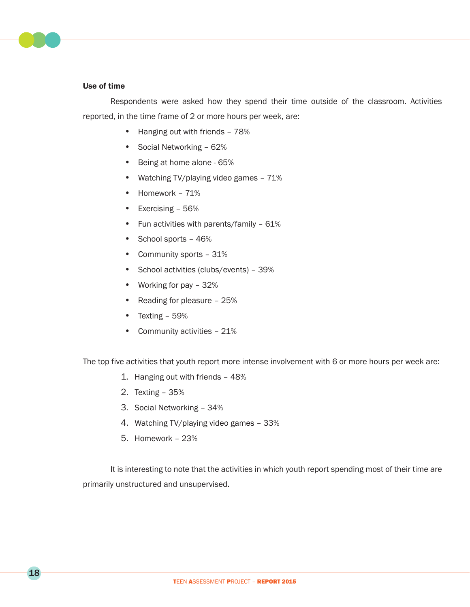

Respondents were asked how they spend their time outside of the classroom. Activities reported, in the time frame of 2 or more hours per week, are:

- Hanging out with friends 78%
- Social Networking 62%
- Being at home alone 65%
- Watching TV/playing video games 71%
- Homework 71%
- Exercising 56%
- Fun activities with parents/family 61%
- School sports 46%
- Community sports 31%
- School activities (clubs/events) 39%
- Working for pay 32%
- Reading for pleasure 25%
- Texting 59%
- Community activities 21%

The top five activities that youth report more intense involvement with 6 or more hours per week are:

- 1. Hanging out with friends 48%
- 2. Texting 35%
- 3. Social Networking 34%
- 4. Watching TV/playing video games 33%
- 5. Homework 23%

It is interesting to note that the activities in which youth report spending most of their time are primarily unstructured and unsupervised.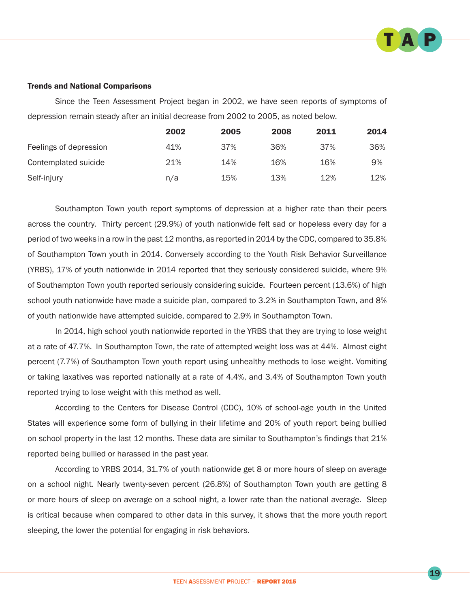

#### Trends and National Comparisons

Since the Teen Assessment Project began in 2002, we have seen reports of symptoms of depression remain steady after an initial decrease from 2002 to 2005, as noted below.

|                        | 2002 | 2005 | 2008 | 2011 | 2014 |
|------------------------|------|------|------|------|------|
| Feelings of depression | 41%  | 37%  | 36%  | 37%  | 36%  |
| Contemplated suicide   | 21%  | 14%  | 16%  | 16%  | 9%   |
| Self-injury            | n/a  | 15%  | 13%  | 12%  | 12%  |

Southampton Town youth report symptoms of depression at a higher rate than their peers across the country. Thirty percent (29.9%) of youth nationwide felt sad or hopeless every day for a period of two weeks in a row in the past 12 months, as reported in 2014 by the CDC, compared to 35.8% of Southampton Town youth in 2014. Conversely according to the Youth Risk Behavior Surveillance (YRBS), 17% of youth nationwide in 2014 reported that they seriously considered suicide, where 9% of Southampton Town youth reported seriously considering suicide. Fourteen percent (13.6%) of high school youth nationwide have made a suicide plan, compared to 3.2% in Southampton Town, and 8% of youth nationwide have attempted suicide, compared to 2.9% in Southampton Town.

In 2014, high school youth nationwide reported in the YRBS that they are trying to lose weight at a rate of 47.7%. In Southampton Town, the rate of attempted weight loss was at 44%. Almost eight percent (7.7%) of Southampton Town youth report using unhealthy methods to lose weight. Vomiting or taking laxatives was reported nationally at a rate of 4.4%, and 3.4% of Southampton Town youth reported trying to lose weight with this method as well.

According to the Centers for Disease Control (CDC), 10% of school-age youth in the United States will experience some form of bullying in their lifetime and 20% of youth report being bullied on school property in the last 12 months. These data are similar to Southampton's findings that 21% reported being bullied or harassed in the past year.

According to YRBS 2014, 31.7% of youth nationwide get 8 or more hours of sleep on average on a school night. Nearly twenty-seven percent (26.8%) of Southampton Town youth are getting 8 or more hours of sleep on average on a school night, a lower rate than the national average. Sleep is critical because when compared to other data in this survey, it shows that the more youth report sleeping, the lower the potential for engaging in risk behaviors.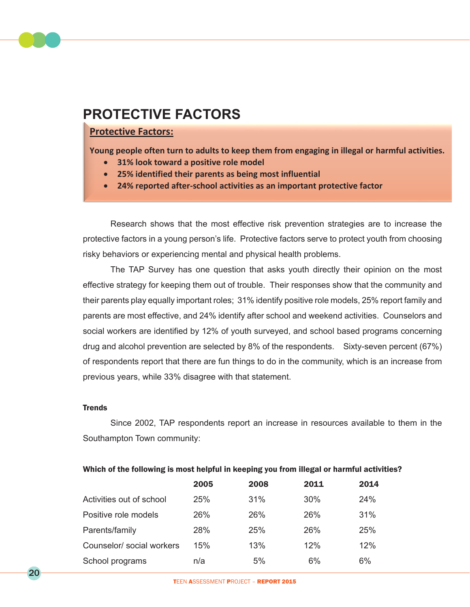## **PROTECTIVE FACTORS**

#### **Protective Factors:**

**Young people often turn to adults to keep them from engaging in illegal or harmful activities.** 

**73% of youth reported NOT getting the recommended amount of sleep each night**

- **31% look toward a positive role model**
- **25% identified their parents as being most influential**
- **24% reported after-school activities as an important protective factor**

Research shows that the most effective risk prevention strategies are to increase the protective factors in a young person's life. Protective factors serve to protect youth from choosing risky behaviors or experiencing mental and physical health problems.

The TAP Survey has one question that asks youth directly their opinion on the most effective strategy for keeping them out of trouble. Their responses show that the community and their parents play equally important roles; 31% identify positive role models, 25% report family and parents are most effective, and 24% identify after school and weekend activities. Counselors and social workers are identified by 12% of youth surveyed, and school based programs concerning drug and alcohol prevention are selected by 8% of the respondents. Sixty-seven percent (67%) of respondents report that there are fun things to do in the community, which is an increase from previous years, while 33% disagree with that statement.

#### **Trends**

Since 2002, TAP respondents report an increase in resources available to them in the Southampton Town community:

#### Which of the following is most helpful in keeping you from illegal or harmful activities?

|                           | 2005 | 2008 | 2011 | 2014 |
|---------------------------|------|------|------|------|
| Activities out of school  | 25%  | 31%  | 30%  | 24%  |
| Positive role models      | 26%  | 26%  | 26%  | 31%  |
| Parents/family            | 28%  | 25%  | 26%  | 25%  |
| Counselor/ social workers | 15%  | 13%  | 12%  | 12%  |
| School programs           | n/a  | 5%   | 6%   | 6%   |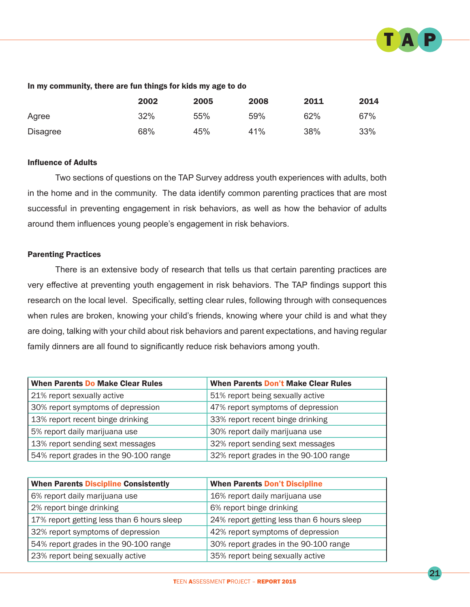

|                 | 2002 | 2005 | 2008 | 2011 | 2014 |
|-----------------|------|------|------|------|------|
| Agree           | 32%  | 55%  | 59%  | 62%  | 67%  |
| <b>Disagree</b> | 68%  | 45%  | 41%  | 38%  | 33%  |

#### In my community, there are fun things for kids my age to do

#### Influence of Adults

Two sections of questions on the TAP Survey address youth experiences with adults, both in the home and in the community. The data identify common parenting practices that are most successful in preventing engagement in risk behaviors, as well as how the behavior of adults around them influences young people's engagement in risk behaviors.

#### Parenting Practices

There is an extensive body of research that tells us that certain parenting practices are very effective at preventing youth engagement in risk behaviors. The TAP findings support this research on the local level. Specifically, setting clear rules, following through with consequences when rules are broken, knowing your child's friends, knowing where your child is and what they are doing, talking with your child about risk behaviors and parent expectations, and having regular family dinners are all found to significantly reduce risk behaviors among youth.

| <b>When Parents Do Make Clear Rules</b> | <b>When Parents Don't Make Clear Rules</b> |
|-----------------------------------------|--------------------------------------------|
| 21% report sexually active              | 51% report being sexually active           |
| 30% report symptoms of depression       | 47% report symptoms of depression          |
| 13% report recent binge drinking        | 33% report recent binge drinking           |
| 5% report daily marijuana use           | 30% report daily marijuana use             |
| 13% report sending sext messages        | 32% report sending sext messages           |
| 54% report grades in the 90-100 range   | 32% report grades in the 90-100 range      |

| <b>When Parents Discipline Consistently</b> | <b>When Parents Don't Discipline</b>       |
|---------------------------------------------|--------------------------------------------|
| 6% report daily marijuana use               | 16% report daily marijuana use             |
| 2% report binge drinking                    | 6% report binge drinking                   |
| 17% report getting less than 6 hours sleep  | 24% report getting less than 6 hours sleep |
| 32% report symptoms of depression           | 42% report symptoms of depression          |
| 54% report grades in the 90-100 range       | 30% report grades in the 90-100 range      |
| 23% report being sexually active            | 35% report being sexually active           |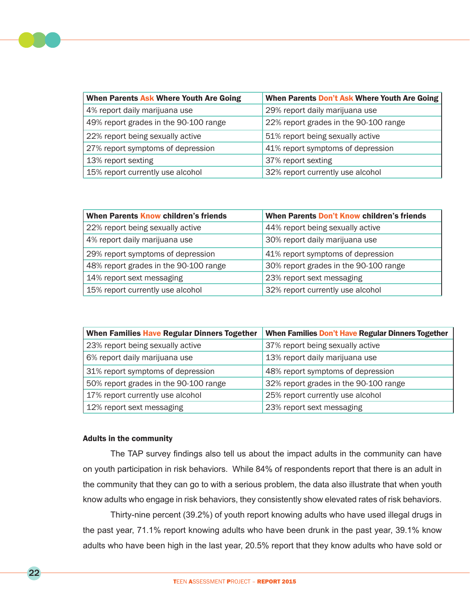

| When Parents Ask Where Youth Are Going | When Parents Don't Ask Where Youth Are Going |
|----------------------------------------|----------------------------------------------|
| 4% report daily marijuana use          | 29% report daily marijuana use               |
| 49% report grades in the 90-100 range  | 22% report grades in the 90-100 range        |
| 22% report being sexually active       | 51% report being sexually active             |
| 27% report symptoms of depression      | 41% report symptoms of depression            |
| 13% report sexting                     | 37% report sexting                           |
| 15% report currently use alcohol       | 32% report currently use alcohol             |

| When Parents Know children's friends  | When Parents Don't Know children's friends |
|---------------------------------------|--------------------------------------------|
| 22% report being sexually active      | 44% report being sexually active           |
| 4% report daily marijuana use         | 30% report daily marijuana use             |
| 29% report symptoms of depression     | 41% report symptoms of depression          |
| 48% report grades in the 90-100 range | 30% report grades in the 90-100 range      |
| 14% report sext messaging             | 23% report sext messaging                  |
| 15% report currently use alcohol      | 32% report currently use alcohol           |

| When Families Have Regular Dinners Together | When Families Don't Have Regular Dinners Together |
|---------------------------------------------|---------------------------------------------------|
| 23% report being sexually active            | 37% report being sexually active                  |
| 6% report daily marijuana use               | 13% report daily marijuana use                    |
| 31% report symptoms of depression           | 48% report symptoms of depression                 |
| 50% report grades in the 90-100 range       | 32% report grades in the 90-100 range             |
| 17% report currently use alcohol            | 25% report currently use alcohol                  |
| 12% report sext messaging                   | 23% report sext messaging                         |

#### Adults in the community

The TAP survey findings also tell us about the impact adults in the community can have on youth participation in risk behaviors. While 84% of respondents report that there is an adult in the community that they can go to with a serious problem, the data also illustrate that when youth know adults who engage in risk behaviors, they consistently show elevated rates of risk behaviors.

Thirty-nine percent (39.2%) of youth report knowing adults who have used illegal drugs in the past year, 71.1% report knowing adults who have been drunk in the past year, 39.1% know adults who have been high in the last year, 20.5% report that they know adults who have sold or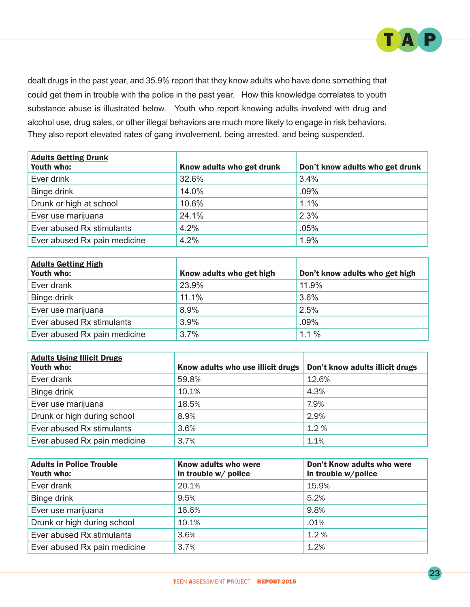

dealt drugs in the past year, and 35.9% report that they know adults who have done something that could get them in trouble with the police in the past year. How this knowledge correlates to youth substance abuse is illustrated below. Youth who report knowing adults involved with drug and alcohol use, drug sales, or other illegal behaviors are much more likely to engage in risk behaviors. They also report elevated rates of gang involvement, being arrested, and being suspended.

| <b>Adults Getting Drunk</b><br>Youth who: | Know adults who get drunk | Don't know adults who get drunk |
|-------------------------------------------|---------------------------|---------------------------------|
| Ever drink                                | 32.6%                     | 3.4%                            |
| Binge drink                               | 14.0%                     | .09%                            |
| Drunk or high at school                   | 10.6%                     | 1.1%                            |
| Ever use marijuana                        | 24.1%                     | 2.3%                            |
| Ever abused Rx stimulants                 | 4.2%                      | .05%                            |
| Ever abused Rx pain medicine              | 4.2%                      | 1.9%                            |

| <b>Adults Getting High</b><br>Youth who: | Know adults who get high | Don't know adults who get high |
|------------------------------------------|--------------------------|--------------------------------|
| Ever drank                               | 23.9%                    | 11.9%                          |
| Binge drink                              | 11.1%                    | 3.6%                           |
| Ever use marijuana                       | 8.9%                     | 2.5%                           |
| Ever abused Rx stimulants                | 3.9%                     | .09%                           |
| Ever abused Rx pain medicine             | 3.7%                     | 1.1%                           |

| <b>Adults Using Illicit Drugs</b><br>Youth who: | Know adults who use illicit drugs | Don't know adults illicit drugs |
|-------------------------------------------------|-----------------------------------|---------------------------------|
| Ever drank                                      | 59.8%                             | 12.6%                           |
| Binge drink                                     | 10.1%                             | 4.3%                            |
| Ever use marijuana                              | 18.5%                             | 7.9%                            |
| Drunk or high during school                     | 8.9%                              | 2.9%                            |
| Ever abused Rx stimulants                       | 3.6%                              | 1.2%                            |
| Ever abused Rx pain medicine                    | 3.7%                              | 1.1%                            |

| <b>Adults in Police Trouble</b><br>Youth who: | Know adults who were<br>in trouble w/ police | Don't Know adults who were<br>in trouble w/police |
|-----------------------------------------------|----------------------------------------------|---------------------------------------------------|
| Ever drank                                    | 20.1%                                        | 15.9%                                             |
| Binge drink                                   | 9.5%                                         | 5.2%                                              |
| Ever use marijuana                            | 16.6%                                        | 9.8%                                              |
| Drunk or high during school                   | 10.1%                                        | .01%                                              |
| Ever abused Rx stimulants                     | 3.6%                                         | 1.2%                                              |
| Ever abused Rx pain medicine                  | 3.7%                                         | 1.2%                                              |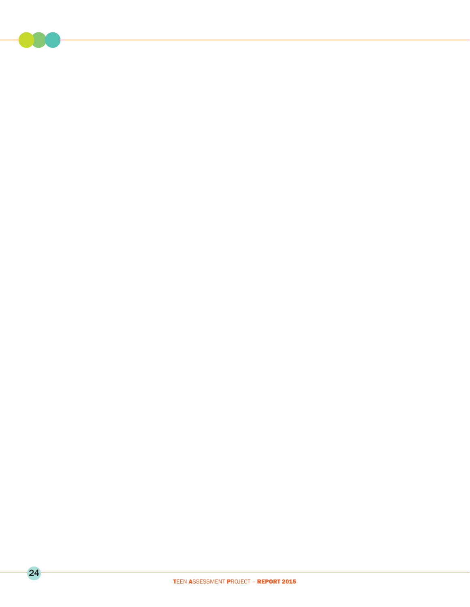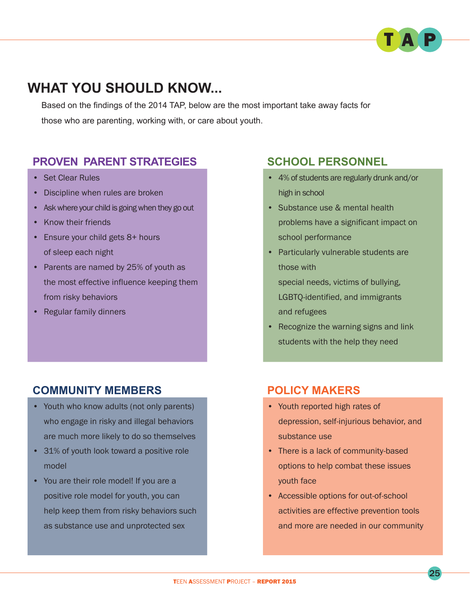

## **WHAT YOU SHOULD KNOW...**

Based on the findings of the 2014 TAP, below are the most important take away facts for those who are parenting, working with, or care about youth.

### **PROVEN PARENT STRATEGIES**

- Set Clear Rules
- Discipline when rules are broken
- Ask where your child is going when they go out
- Know their friends
- Ensure your child gets 8+ hours of sleep each night
- Parents are named by 25% of youth as the most effective influence keeping them from risky behaviors
- Regular family dinners

### **COMMUNITY MEMBERS**

- Youth who know adults (not only parents) who engage in risky and illegal behaviors are much more likely to do so themselves
- 31% of youth look toward a positive role model
- You are their role model! If you are a positive role model for youth, you can help keep them from risky behaviors such as substance use and unprotected sex

### **SCHOOL PERSONNEL**

- 4% of students are regularly drunk and/or high in school
- Substance use & mental health problems have a significant impact on school performance
- Particularly vulnerable students are those with

special needs, victims of bullying, LGBTQ-identified, and immigrants and refugees

• Recognize the warning signs and link students with the help they need

### **POLICY MAKERS**

- Youth reported high rates of depression, self-injurious behavior, and substance use
- There is a lack of community-based options to help combat these issues youth face
- Accessible options for out-of-school activities are effective prevention tools and more are needed in our community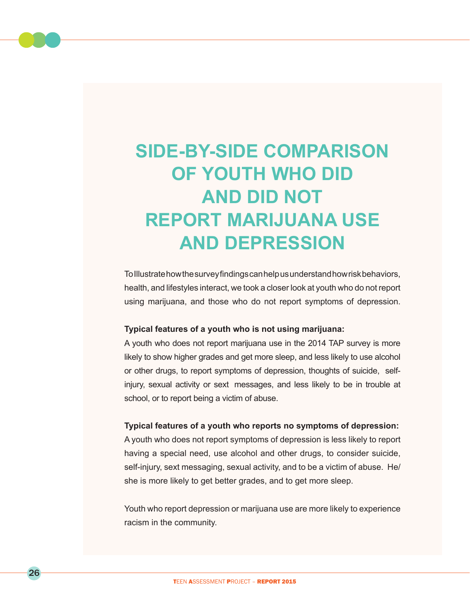# **SIDE-BY-SIDE COMPARISON OF YOUTH WHO DID AND DID NOT REPORT MARIJUANA USE AND DEPRESSION**

To Illustrate how the survey findings can help us understand how risk behaviors, health, and lifestyles interact, we took a closer look at youth who do not report using marijuana, and those who do not report symptoms of depression.

#### **Typical features of a youth who is not using marijuana:**

A youth who does not report marijuana use in the 2014 TAP survey is more likely to show higher grades and get more sleep, and less likely to use alcohol or other drugs, to report symptoms of depression, thoughts of suicide, selfinjury, sexual activity or sext messages, and less likely to be in trouble at school, or to report being a victim of abuse.

#### **Typical features of a youth who reports no symptoms of depression:**

A youth who does not report symptoms of depression is less likely to report having a special need, use alcohol and other drugs, to consider suicide, self-injury, sext messaging, sexual activity, and to be a victim of abuse. He/ she is more likely to get better grades, and to get more sleep.

Youth who report depression or marijuana use are more likely to experience racism in the community.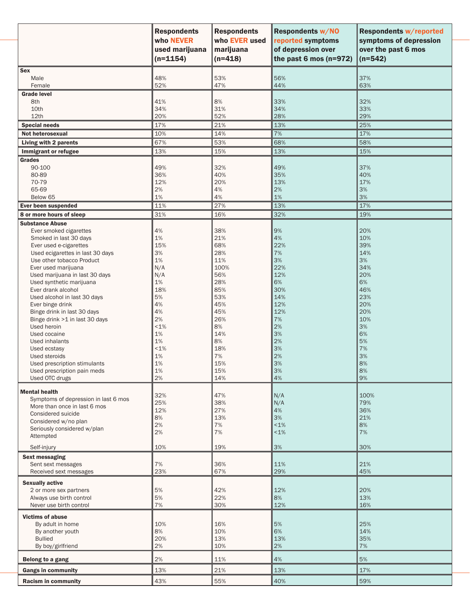|                                                                      | <b>Respondents</b><br>who NEVER<br>used marijuana<br>$(n=1154)$ | <b>Respondents</b><br>who EVER used<br>marijuana<br>$(n=418)$ | <b>Respondents w/NO</b><br>reported symptoms<br>of depression over<br>the past $6 \text{ mos} (n=972)$ | <b>Respondents w/reported</b><br>symptoms of depression<br>over the past 6 mos<br>$(n=542)$ |
|----------------------------------------------------------------------|-----------------------------------------------------------------|---------------------------------------------------------------|--------------------------------------------------------------------------------------------------------|---------------------------------------------------------------------------------------------|
| <b>Sex</b>                                                           |                                                                 |                                                               |                                                                                                        |                                                                                             |
| Male                                                                 | 48%                                                             | 53%                                                           | 56%                                                                                                    | 37%                                                                                         |
| Female                                                               | 52%                                                             | 47%                                                           | 44%                                                                                                    | 63%                                                                                         |
| <b>Grade level</b>                                                   |                                                                 |                                                               |                                                                                                        |                                                                                             |
| 8th                                                                  | 41%                                                             | 8%                                                            | 33%                                                                                                    | 32%                                                                                         |
| 10th<br>12th                                                         | 34%<br>20%                                                      | 31%<br>52%                                                    | 34%<br>28%                                                                                             | 33%<br>29%                                                                                  |
|                                                                      |                                                                 |                                                               |                                                                                                        |                                                                                             |
| <b>Special needs</b>                                                 | 17%                                                             | 21%                                                           | 13%<br>7%                                                                                              | 25%<br>17%                                                                                  |
| <b>Not heterosexual</b>                                              | 10%                                                             | 14%                                                           |                                                                                                        |                                                                                             |
| Living with 2 parents                                                | 67%                                                             | 53%                                                           | 68%                                                                                                    | 58%                                                                                         |
| Immigrant or refugee                                                 | 13%                                                             | 15%                                                           | 13%                                                                                                    | 15%                                                                                         |
| <b>Grades</b><br>90-100                                              | 49%                                                             | 32%                                                           | 49%                                                                                                    | 37%                                                                                         |
| 80-89                                                                | 36%                                                             | 40%                                                           | 35%                                                                                                    | 40%                                                                                         |
| 70-79                                                                | 12%                                                             | 20%                                                           | 13%                                                                                                    | 17%                                                                                         |
| 65-69                                                                | 2%                                                              | 4%                                                            | 2%                                                                                                     | 3%                                                                                          |
| Below 65                                                             | 1%                                                              | 4%                                                            | $1\%$                                                                                                  | 3%                                                                                          |
| Ever been suspended                                                  | 11%                                                             | 27%                                                           | 13%                                                                                                    | 17%                                                                                         |
| 8 or more hours of sleep                                             | 31%                                                             | 16%                                                           | 32%                                                                                                    | 19%                                                                                         |
| <b>Substance Abuse</b>                                               |                                                                 |                                                               |                                                                                                        |                                                                                             |
| Ever smoked cigarettes                                               | 4%                                                              | 38%                                                           | 9%                                                                                                     | 20%                                                                                         |
| Smoked in last 30 days                                               | 1%                                                              | 21%                                                           | 4%                                                                                                     | 10%                                                                                         |
| Ever used e-cigarettes<br>Used ecigarettes in last 30 days           | 15%<br>3%                                                       | 68%<br>28%                                                    | 22%<br>7%                                                                                              | 39%<br>14%                                                                                  |
| Use other tobacco Product                                            | 1%                                                              | 11%                                                           | 3%                                                                                                     | 3%                                                                                          |
| Ever used marijuana                                                  | N/A                                                             | 100%                                                          | 22%                                                                                                    | 34%                                                                                         |
| Used marijuana in last 30 days                                       | N/A                                                             | 56%                                                           | 12%                                                                                                    | 20%                                                                                         |
| Used synthetic marijuana                                             | 1%                                                              | 28%                                                           | 6%                                                                                                     | 6%                                                                                          |
| Ever drank alcohol                                                   | 18%                                                             | 85%                                                           | 30%                                                                                                    | 46%                                                                                         |
| Used alcohol in last 30 days                                         | 5%                                                              | 53%                                                           | 14%<br>12%                                                                                             | 23%<br>20%                                                                                  |
| Ever binge drink<br>Binge drink in last 30 days                      | 4%<br>4%                                                        | 45%<br>45%                                                    | 12%                                                                                                    | 20%                                                                                         |
| Binge drink >1 in last 30 days                                       | 2%                                                              | 26%                                                           | 7%                                                                                                     | 10%                                                                                         |
| Used heroin                                                          | $< 1\%$                                                         | 8%                                                            | 2%                                                                                                     | 3%                                                                                          |
| Used cocaine                                                         | 1%                                                              | 14%                                                           | 3%                                                                                                     | 6%                                                                                          |
| Used inhalants                                                       | 1%                                                              | 8%                                                            | 2%                                                                                                     | 5%                                                                                          |
| Used ecstasy                                                         | $< 1\%$<br>1%                                                   | 18%<br>7%                                                     | 3%<br>2%                                                                                               | 7%<br>3%                                                                                    |
| Used steroids<br>Used prescription stimulants                        | 1%                                                              | 15%                                                           | 3%                                                                                                     | 8%                                                                                          |
| Used prescription pain meds                                          | 1%                                                              | 15%                                                           | 3%                                                                                                     | 8%                                                                                          |
| Used OTC drugs                                                       | 2%                                                              | 14%                                                           | 4%                                                                                                     | 9%                                                                                          |
|                                                                      |                                                                 |                                                               |                                                                                                        |                                                                                             |
| <b>Mental health</b>                                                 | 32%                                                             | 47%                                                           | N/A                                                                                                    | 100%                                                                                        |
| Symptoms of depression in last 6 mos<br>More than once in last 6 mos | 25%                                                             | 38%                                                           | N/A                                                                                                    | 79%                                                                                         |
| Considered suicide                                                   | 12%                                                             | 27%                                                           | 4%                                                                                                     | 36%                                                                                         |
| Considered w/no plan                                                 | 8%                                                              | 13%                                                           | 3%                                                                                                     | 21%                                                                                         |
| Seriously considered w/plan                                          | 2%<br>2%                                                        | 7%<br>7%                                                      | $< 1\%$<br>$< 1\%$                                                                                     | 8%<br>7%                                                                                    |
| Attempted                                                            |                                                                 |                                                               |                                                                                                        |                                                                                             |
| Self-injury                                                          | 10%                                                             | 19%                                                           | 3%                                                                                                     | 30%                                                                                         |
| Sext messaging                                                       |                                                                 |                                                               |                                                                                                        |                                                                                             |
| Sent sext messages                                                   | 7%                                                              | 36%                                                           | 11%                                                                                                    | 21%                                                                                         |
| Received sext messages                                               | 23%                                                             | 67%                                                           | 29%                                                                                                    | 45%                                                                                         |
| <b>Sexually active</b>                                               |                                                                 |                                                               |                                                                                                        |                                                                                             |
| 2 or more sex partners                                               | 5%                                                              | 42%                                                           | 12%                                                                                                    | 20%                                                                                         |
| Always use birth control                                             | 5%                                                              | 22%                                                           | 8%                                                                                                     | 13%                                                                                         |
| Never use birth control                                              | 7%                                                              | 30%                                                           | 12%                                                                                                    | 16%                                                                                         |
| <b>Victims of abuse</b>                                              |                                                                 |                                                               |                                                                                                        |                                                                                             |
| By adult in home                                                     | 10%                                                             | 16%                                                           | 5%                                                                                                     | 25%                                                                                         |
| By another youth                                                     | 8%                                                              | 10%                                                           | 6%                                                                                                     | 14%                                                                                         |
| <b>Bullied</b>                                                       | 20%                                                             | 13%                                                           | 13%                                                                                                    | 35%                                                                                         |
| By boy/girlfriend                                                    | 2%                                                              | 10%                                                           | 2%                                                                                                     | 7%                                                                                          |
| Belong to a gang                                                     | 2%                                                              | 11%                                                           | 4%                                                                                                     | 5%                                                                                          |
| <b>Gangs in community</b>                                            | 13%                                                             | 21%                                                           | 13%                                                                                                    | 17%                                                                                         |
| <b>Racism in community</b>                                           | 43%                                                             | 55%                                                           | 40%                                                                                                    | 59%                                                                                         |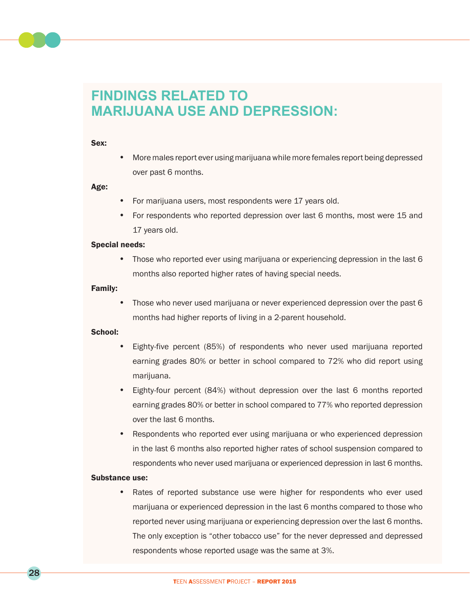## **FINDINGS RELATED TO MARIJUANA USE AND DEPRESSION:**

#### Sex:

• More males report ever using marijuana while more females report being depressed over past 6 months.

#### Age:

- For marijuana users, most respondents were 17 years old.
- For respondents who reported depression over last 6 months, most were 15 and 17 years old.

#### Special needs:

• Those who reported ever using marijuana or experiencing depression in the last 6 months also reported higher rates of having special needs.

#### Family:

• Those who never used marijuana or never experienced depression over the past 6 months had higher reports of living in a 2-parent household.

#### School:

- Eighty-five percent (85%) of respondents who never used marijuana reported earning grades 80% or better in school compared to 72% who did report using marijuana.
- Eighty-four percent (84%) without depression over the last 6 months reported earning grades 80% or better in school compared to 77% who reported depression over the last 6 months.
- Respondents who reported ever using marijuana or who experienced depression in the last 6 months also reported higher rates of school suspension compared to respondents who never used marijuana or experienced depression in last 6 months.

#### Substance use:

Rates of reported substance use were higher for respondents who ever used marijuana or experienced depression in the last 6 months compared to those who reported never using marijuana or experiencing depression over the last 6 months. The only exception is "other tobacco use" for the never depressed and depressed respondents whose reported usage was the same at 3%.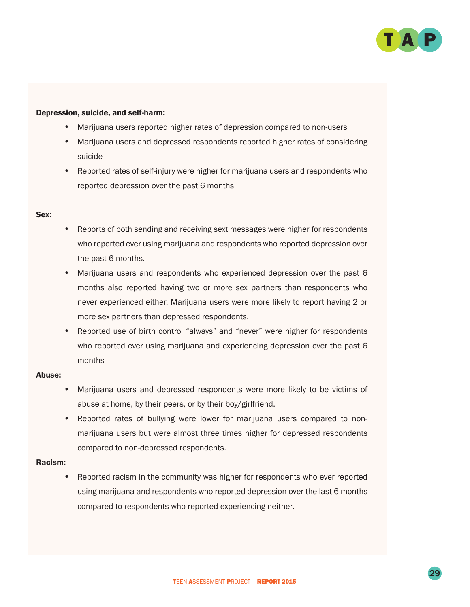

#### Depression, suicide, and self-harm:

- Marijuana users reported higher rates of depression compared to non-users
- Marijuana users and depressed respondents reported higher rates of considering suicide
- Reported rates of self-injury were higher for marijuana users and respondents who reported depression over the past 6 months

#### Sex:

- Reports of both sending and receiving sext messages were higher for respondents who reported ever using marijuana and respondents who reported depression over the past 6 months.
- Marijuana users and respondents who experienced depression over the past 6 months also reported having two or more sex partners than respondents who never experienced either. Marijuana users were more likely to report having 2 or more sex partners than depressed respondents.
- Reported use of birth control "always" and "never" were higher for respondents who reported ever using marijuana and experiencing depression over the past 6 months

#### Abuse:

- Marijuana users and depressed respondents were more likely to be victims of abuse at home, by their peers, or by their boy/girlfriend.
- Reported rates of bullying were lower for marijuana users compared to nonmarijuana users but were almost three times higher for depressed respondents compared to non-depressed respondents.

#### Racism:

• Reported racism in the community was higher for respondents who ever reported using marijuana and respondents who reported depression over the last 6 months compared to respondents who reported experiencing neither.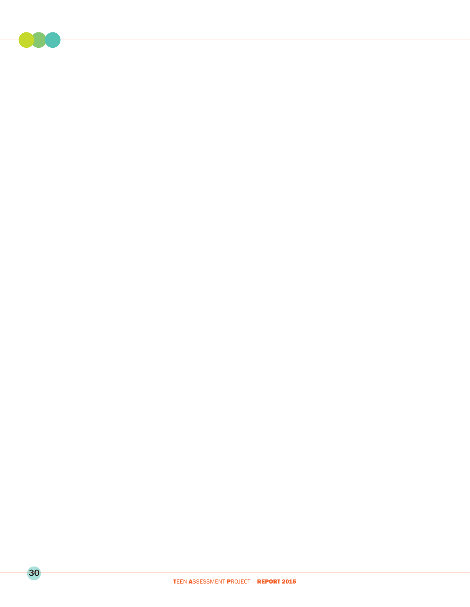